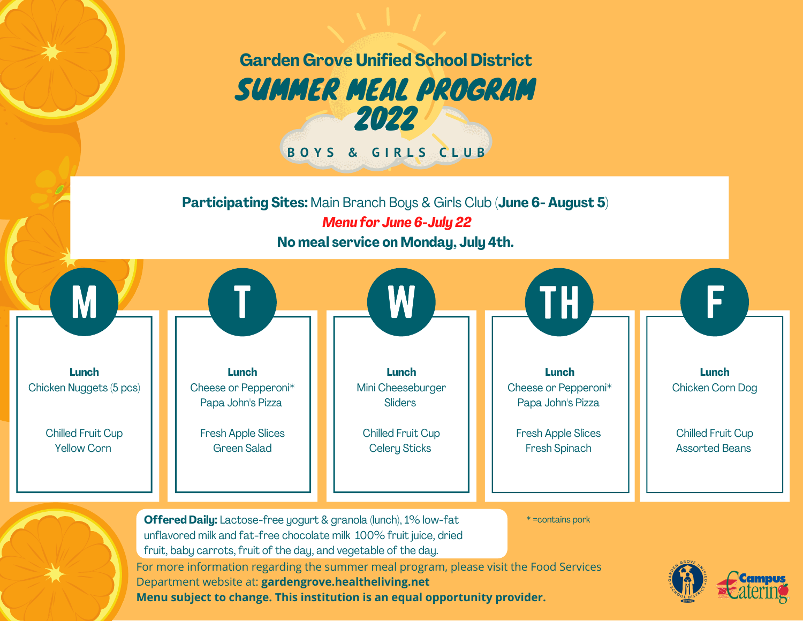

**Menu subject to change. This institution is an equal opportunity provider.**